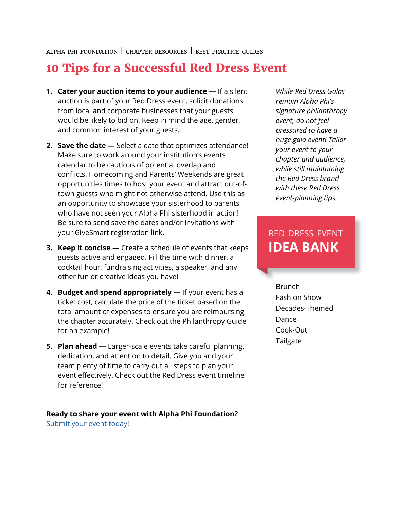## **10 Tips for a Successful Red Dress Event**

- **1. Cater your auction items to your audience —** If a silent auction is part of your Red Dress event, solicit donations from local and corporate businesses that your guests would be likely to bid on. Keep in mind the age, gender, and common interest of your guests.
- **2. Save the date** Select a date that optimizes attendance! Make sure to work around your institution's events calendar to be cautious of potential overlap and conflicts. Homecoming and Parents' Weekends are great opportunities times to host your event and attract out-oftown guests who might not otherwise attend. Use this as an opportunity to showcase your sisterhood to parents who have not seen your Alpha Phi sisterhood in action! Be sure to send save the dates and/or invitations with your GiveSmart registration link.
- **3. Keep it concise** Create a schedule of events that keeps guests active and engaged. Fill the time with dinner, a cocktail hour, fundraising activities, a speaker, and any other fun or creative ideas you have!
- **4. Budget and spend appropriately** If your event has a ticket cost, calculate the price of the ticket based on the total amount of expenses to ensure you are reimbursing the chapter accurately. Check out the Philanthropy Guide for an example!
- **5. Plan ahead** Larger-scale events take careful planning, dedication, and attention to detail. Give you and your team plenty of time to carry out all steps to plan your event effectively. Check out the Red Dress event timeline for reference!

**Ready to share your event with Alpha Phi Foundation?**  [Submit your event today!](https://www.alphaphifoundation.org/resources/submit-your-event/)

*While Red Dress Galas remain Alpha Phi's signature philanthropy event, do not feel pressured to have a huge gala event! Tailor your event to your chapter and audience, while still maintaining the Red Dress brand with these Red Dress event-planning tips.* 

## red dress event **IDEA BANK**

Brunch Fashion Show Decades-Themed Dance Cook-Out Tailgate